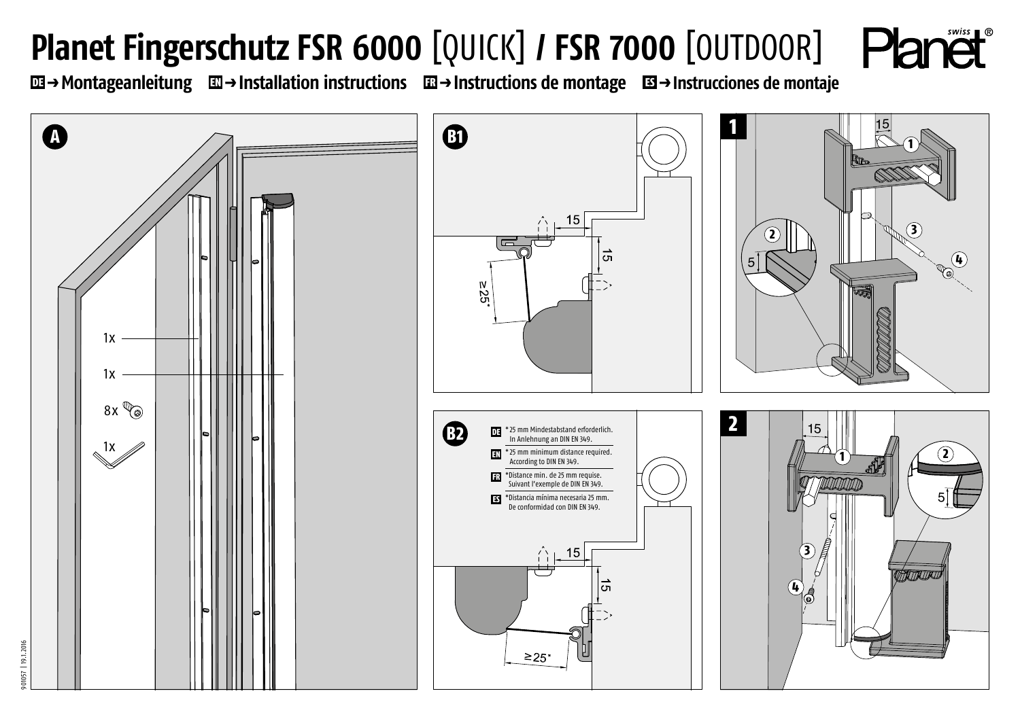## **Planet Fingerschutz FSR 6000 [QUICK] / FSR 7000 [OUTDOOR] Planet**

DE p **Montageanleitung** EN p **Installation instructions** FR p **Instructions de montage** ES p **Instrucciones de montaje**